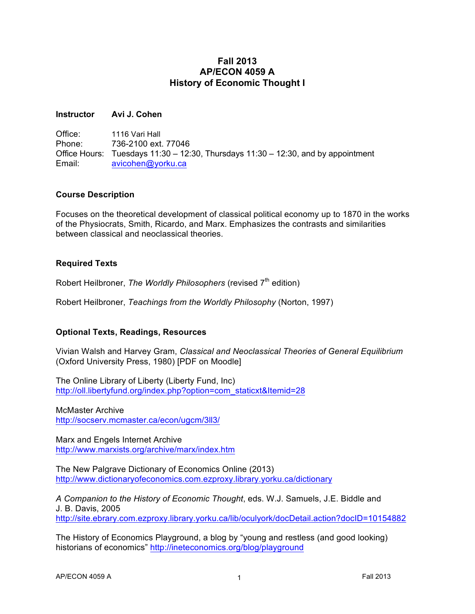## **Fall 2013 AP/ECON 4059 A History of Economic Thought I**

#### **Instructor Avi J. Cohen**

Office: 1116 Vari Hall Phone: 736-2100 ext. 77046 Office Hours: Tuesdays 11:30 – 12:30, Thursdays 11:30 – 12:30, and by appointment Email: avicohen@yorku.ca

#### **Course Description**

Focuses on the theoretical development of classical political economy up to 1870 in the works of the Physiocrats, Smith, Ricardo, and Marx. Emphasizes the contrasts and similarities between classical and neoclassical theories.

## **Required Texts**

Robert Heilbroner, *The Worldly Philosophers* (revised 7<sup>th</sup> edition)

Robert Heilbroner, *Teachings from the Worldly Philosophy* (Norton, 1997)

## **Optional Texts, Readings, Resources**

Vivian Walsh and Harvey Gram, *Classical and Neoclassical Theories of General Equilibrium* (Oxford University Press, 1980) [PDF on Moodle]

The Online Library of Liberty (Liberty Fund, Inc) http://oll.libertyfund.org/index.php?option=com\_staticxt&Itemid=28

McMaster Archive http://socserv.mcmaster.ca/econ/ugcm/3ll3/

Marx and Engels Internet Archive http://www.marxists.org/archive/marx/index.htm

The New Palgrave Dictionary of Economics Online (2013) http://www.dictionaryofeconomics.com.ezproxy.library.yorku.ca/dictionary

*A Companion to the History of Economic Thought*, eds. W.J. Samuels, J.E. Biddle and J. B. Davis, 2005 http://site.ebrary.com.ezproxy.library.yorku.ca/lib/oculyork/docDetail.action?docID=10154882

The History of Economics Playground, a blog by "young and restless (and good looking) historians of economics" http://ineteconomics.org/blog/playground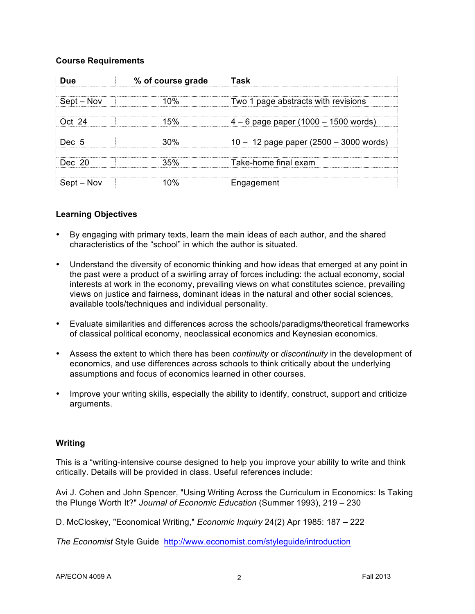#### **Course Requirements**

| Due        | % of course grade | ⊟Task                                    |  |
|------------|-------------------|------------------------------------------|--|
| Sept – Nov | 1 በ%              | Two 1 page abstracts with revisions      |  |
| Oct 24     | 15%               | $4 - 6$ page paper (1000 – 1500 words)   |  |
| Dec. 5     | איחצ              | $10 - 12$ page paper (2500 – 3000 words) |  |
| Dec. 20    | 35%               | Take-home final exam                     |  |
| Sept – Nov |                   | Engagement                               |  |

#### **Learning Objectives**

- By engaging with primary texts, learn the main ideas of each author, and the shared characteristics of the "school" in which the author is situated.
- Understand the diversity of economic thinking and how ideas that emerged at any point in the past were a product of a swirling array of forces including: the actual economy, social interests at work in the economy, prevailing views on what constitutes science, prevailing views on justice and fairness, dominant ideas in the natural and other social sciences, available tools/techniques and individual personality.
- Evaluate similarities and differences across the schools/paradigms/theoretical frameworks of classical political economy, neoclassical economics and Keynesian economics.
- Assess the extent to which there has been *continuity* or *discontinuity* in the development of economics, and use differences across schools to think critically about the underlying assumptions and focus of economics learned in other courses.
- Improve your writing skills, especially the ability to identify, construct, support and criticize arguments.

#### **Writing**

This is a "writing-intensive course designed to help you improve your ability to write and think critically. Details will be provided in class. Useful references include:

Avi J. Cohen and John Spencer, "Using Writing Across the Curriculum in Economics: Is Taking the Plunge Worth It?" *Journal of Economic Education* (Summer 1993), 219 – 230

D. McCloskey, "Economical Writing," *Economic Inquiry* 24(2) Apr 1985: 187 – 222

*The Economist* Style Guide http://www.economist.com/styleguide/introduction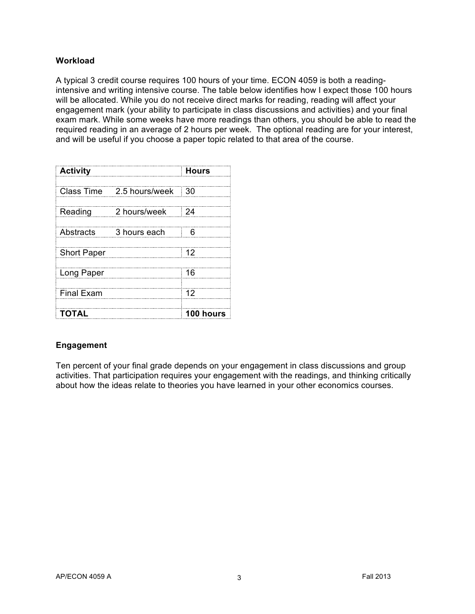## **Workload**

A typical 3 credit course requires 100 hours of your time. ECON 4059 is both a readingintensive and writing intensive course. The table below identifies how I expect those 100 hours will be allocated. While you do not receive direct marks for reading, reading will affect your engagement mark (your ability to participate in class discussions and activities) and your final exam mark. While some weeks have more readings than others, you should be able to read the required reading in an average of 2 hours per week. The optional reading are for your interest, and will be useful if you choose a paper topic related to that area of the course.

| <b>Activity</b>    |                              | <b>Hours</b>                |
|--------------------|------------------------------|-----------------------------|
|                    | Class Time 2.5 hours/week 30 |                             |
| Reading            | 2 hours/week                 | $\overline{\phantom{0}}$ 24 |
| Abstracts          | 3 hours each                 |                             |
| <b>Short Paper</b> |                              | : 12                        |
| Long Paper         |                              | -16                         |
| <b>Final Exam</b>  |                              | 12                          |
| TOTAL              |                              | <b>100 hours</b>            |

# **Engagement**

Ten percent of your final grade depends on your engagement in class discussions and group activities. That participation requires your engagement with the readings, and thinking critically about how the ideas relate to theories you have learned in your other economics courses.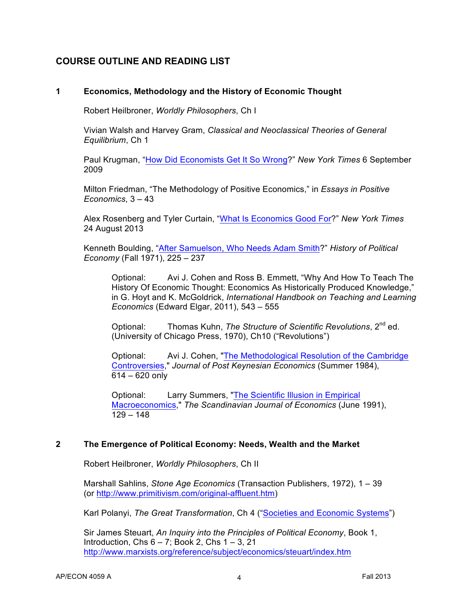# **COURSE OUTLINE AND READING LIST**

## **1 Economics, Methodology and the History of Economic Thought**

Robert Heilbroner, *Worldly Philosophers*, Ch I

Vivian Walsh and Harvey Gram, *Classical and Neoclassical Theories of General Equilibrium*, Ch 1

Paul Krugman, "How Did Economists Get It So Wrong?" *New York Times* 6 September 2009

Milton Friedman, "The Methodology of Positive Economics," in *Essays in Positive Economics*, 3 – 43

Alex Rosenberg and Tyler Curtain, "What Is Economics Good For?" *New York Times* 24 August 2013

Kenneth Boulding, "After Samuelson, Who Needs Adam Smith?" *History of Political Economy* (Fall 1971), 225 – 237

Optional: Avi J. Cohen and Ross B. Emmett, "Why And How To Teach The History Of Economic Thought: Economics As Historically Produced Knowledge," in G. Hoyt and K. McGoldrick, *International Handbook on Teaching and Learning Economics* (Edward Elgar, 2011), 543 – 555

Optional: Thomas Kuhn, *The Structure of Scientific Revolutions*, 2<sup>nd</sup> ed. (University of Chicago Press, 1970), Ch10 ("Revolutions")

Optional: Avi J. Cohen, "The Methodological Resolution of the Cambridge Controversies," *Journal of Post Keynesian Economics* (Summer 1984), 614 – 620 only

Optional: Larry Summers, "The Scientific Illusion in Empirical Macroeconomics," *The Scandinavian Journal of Economics* (June 1991),  $129 - 148$ 

## **2 The Emergence of Political Economy: Needs, Wealth and the Market**

Robert Heilbroner, *Worldly Philosophers*, Ch II

Marshall Sahlins, *Stone Age Economics* (Transaction Publishers, 1972), 1 – 39 (or http://www.primitivism.com/original-affluent.htm)

Karl Polanyi, *The Great Transformation*, Ch 4 ("Societies and Economic Systems")

Sir James Steuart, *An Inquiry into the Principles of Political Economy*, Book 1, Introduction, Chs  $6 - 7$ ; Book 2, Chs  $1 - 3$ , 21 http://www.marxists.org/reference/subject/economics/steuart/index.htm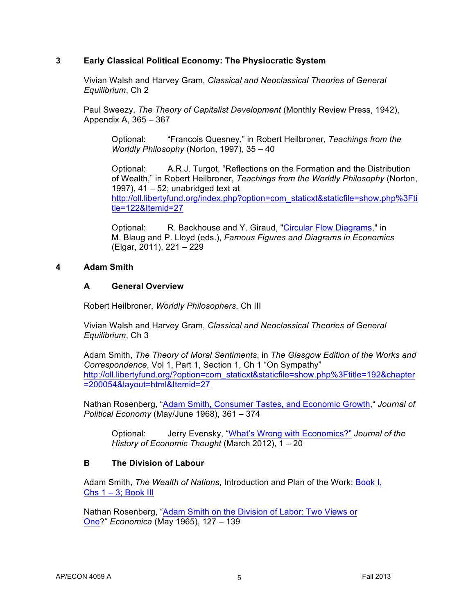## **3 Early Classical Political Economy: The Physiocratic System**

Vivian Walsh and Harvey Gram, *Classical and Neoclassical Theories of General Equilibrium*, Ch 2

Paul Sweezy, *The Theory of Capitalist Development* (Monthly Review Press, 1942), Appendix A, 365 – 367

Optional: "Francois Quesney," in Robert Heilbroner, *Teachings from the Worldly Philosophy* (Norton, 1997), 35 – 40

Optional: A.R.J. Turgot, "Reflections on the Formation and the Distribution of Wealth," in Robert Heilbroner, *Teachings from the Worldly Philosophy* (Norton, 1997),  $41 - 52$ ; unabridged text at http://oll.libertyfund.org/index.php?option=com\_staticxt&staticfile=show.php%3Fti tle=122&Itemid=27

Optional: R. Backhouse and Y. Giraud, "Circular Flow Diagrams," in M. Blaug and P. Lloyd (eds.), *Famous Figures and Diagrams in Economics* (Elgar, 2011), 221 – 229

## **4 Adam Smith**

#### **A General Overview**

Robert Heilbroner, *Worldly Philosophers*, Ch III

Vivian Walsh and Harvey Gram, *Classical and Neoclassical Theories of General Equilibrium*, Ch 3

Adam Smith, *The Theory of Moral Sentiments*, in *The Glasgow Edition of the Works and Correspondence*, Vol 1, Part 1, Section 1, Ch 1 "On Sympathy" http://oll.libertyfund.org/?option=com\_staticxt&staticfile=show.php%3Ftitle=192&chapter =200054&layout=html&Itemid=27

Nathan Rosenberg, "Adam Smith, Consumer Tastes, and Economic Growth," *Journal of Political Economy* (May/June 1968), 361 – 374

Optional: Jerry Evensky, "What's Wrong with Economics?" *Journal of the History of Economic Thought* (March 2012), 1 – 20

## **B The Division of Labour**

Adam Smith, *The Wealth of Nations*, Introduction and Plan of the Work; Book I, Chs  $1 - 3$ ; Book III

Nathan Rosenberg, "Adam Smith on the Division of Labor: Two Views or One?" *Economica* (May 1965), 127 – 139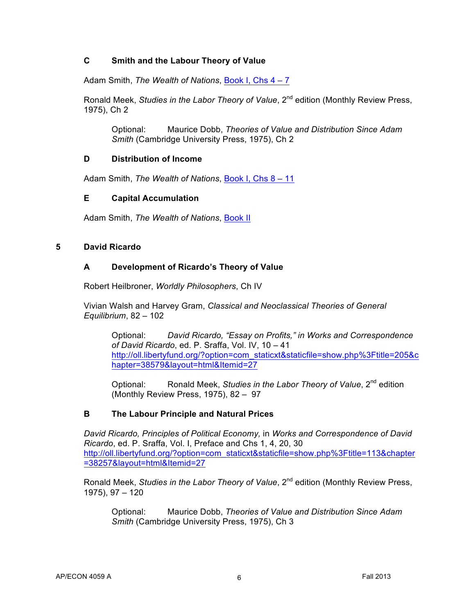## **C Smith and the Labour Theory of Value**

Adam Smith, *The Wealth of Nations*, Book I, Chs 4 – 7

Ronald Meek, *Studies in the Labor Theory of Value*, 2<sup>nd</sup> edition (Monthly Review Press, 1975), Ch 2

Optional: Maurice Dobb, *Theories of Value and Distribution Since Adam Smith* (Cambridge University Press, 1975), Ch 2

#### **D Distribution of Income**

Adam Smith, *The Wealth of Nations*, Book I, Chs 8 – 11

#### **E Capital Accumulation**

Adam Smith, *The Wealth of Nations*, Book II

#### **5 David Ricardo**

#### **A Development of Ricardo's Theory of Value**

Robert Heilbroner, *Worldly Philosophers*, Ch IV

Vivian Walsh and Harvey Gram, *Classical and Neoclassical Theories of General Equilibrium*, 82 – 102

Optional: *David Ricardo, "Essay on Profits," in Works and Correspondence of David Ricardo*, ed. P. Sraffa, Vol. IV, 10 – 41 http://oll.libertyfund.org/?option=com\_staticxt&staticfile=show.php%3Ftitle=205&c hapter=38579&layout=html&Itemid=27

Optional: Ronald Meek, *Studies in the Labor Theory of Value*, 2nd edition (Monthly Review Press, 1975), 82 – 97

## **B The Labour Principle and Natural Prices**

*David Ricardo, Principles of Political Economy,* in *Works and Correspondence of David Ricardo*, ed. P. Sraffa, Vol. I, Preface and Chs 1, 4, 20, 30 http://oll.libertyfund.org/?option=com\_staticxt&staticfile=show.php%3Ftitle=113&chapter =38257&layout=html&Itemid=27

Ronald Meek, *Studies in the Labor Theory of Value*, 2<sup>nd</sup> edition (Monthly Review Press, 1975), 97 – 120

Optional: Maurice Dobb, *Theories of Value and Distribution Since Adam Smith* (Cambridge University Press, 1975), Ch 3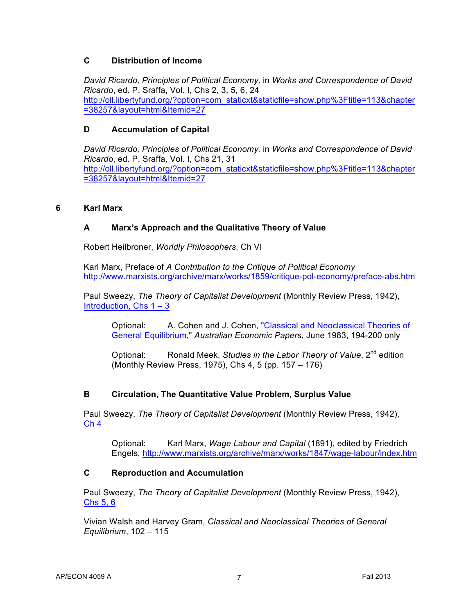## **C Distribution of Income**

*David Ricardo, Principles of Political Economy,* in *Works and Correspondence of David Ricardo*, ed. P. Sraffa, Vol. I, Chs 2, 3, 5, 6, 24 http://oll.libertyfund.org/?option=com\_staticxt&staticfile=show.php%3Ftitle=113&chapter =38257&layout=html&Itemid=27

## **D Accumulation of Capital**

*David Ricardo, Principles of Political Economy,* in *Works and Correspondence of David Ricardo*, ed. P. Sraffa, Vol. I, Chs 21, 31 http://oll.libertyfund.org/?option=com\_staticxt&staticfile=show.php%3Ftitle=113&chapter =38257&layout=html&Itemid=27

## **6 Karl Marx**

# **A Marx's Approach and the Qualitative Theory of Value**

Robert Heilbroner, *Worldly Philosophers*, Ch VI

Karl Marx, Preface of *A Contribution to the Critique of Political Economy* http://www.marxists.org/archive/marx/works/1859/critique-pol-economy/preface-abs.htm

Paul Sweezy, *The Theory of Capitalist Development* (Monthly Review Press, 1942), Introduction, Chs  $1 - 3$ 

Optional: A. Cohen and J. Cohen, "Classical and Neoclassical Theories of General Equilibrium," *Australian Economic Papers*, June 1983, 194-200 only

Optional: Ronald Meek, *Studies in the Labor Theory of Value*, 2<sup>nd</sup> edition (Monthly Review Press, 1975), Chs 4, 5 (pp. 157 – 176)

# **B Circulation, The Quantitative Value Problem, Surplus Value**

Paul Sweezy, *The Theory of Capitalist Development* (Monthly Review Press, 1942), Ch 4

Optional: Karl Marx, *Wage Labour and Capital* (1891), edited by Friedrich Engels, http://www.marxists.org/archive/marx/works/1847/wage-labour/index.htm

## **C Reproduction and Accumulation**

Paul Sweezy, *The Theory of Capitalist Development* (Monthly Review Press, 1942), Chs 5, 6

Vivian Walsh and Harvey Gram, *Classical and Neoclassical Theories of General Equilibrium*, 102 – 115